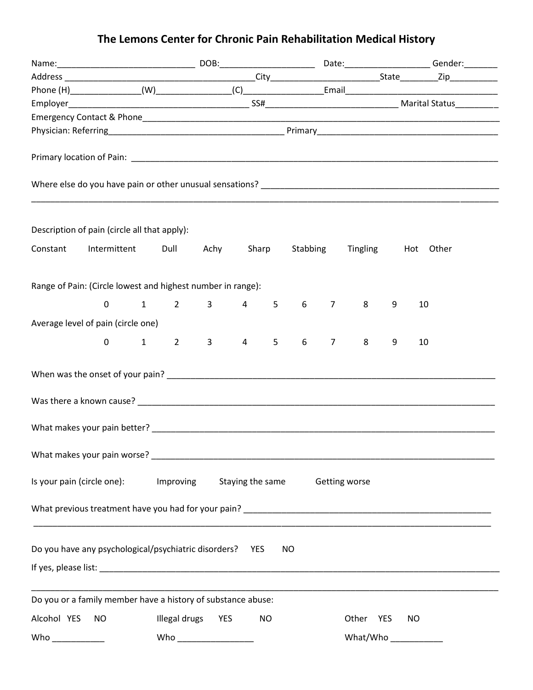# **The Lemons Center for Chronic Pain Rehabilitation Medical History**

|             | Description of pain (circle all that apply):                                                                                                                                                                                   |                        |                             |                                |  |           |                                |                 |                              |   |                        |  |
|-------------|--------------------------------------------------------------------------------------------------------------------------------------------------------------------------------------------------------------------------------|------------------------|-----------------------------|--------------------------------|--|-----------|--------------------------------|-----------------|------------------------------|---|------------------------|--|
| Constant    | Intermittent                                                                                                                                                                                                                   |                        | Dull                        |                                |  |           |                                |                 | Achy Sharp Stabbing Tingling |   | Hot Other              |  |
|             | Range of Pain: (Circle lowest and highest number in range):                                                                                                                                                                    |                        |                             |                                |  |           |                                |                 |                              |   |                        |  |
|             | 0                                                                                                                                                                                                                              | $1 \quad \blacksquare$ |                             | $2 \qquad 3 \qquad 4 \qquad 5$ |  |           |                                | $6\qquad 7$     | 8                            | 9 | 10                     |  |
|             | Average level of pain (circle one)                                                                                                                                                                                             |                        |                             |                                |  |           |                                |                 |                              |   |                        |  |
|             |                                                                                                                                                                                                                                |                        |                             |                                |  |           |                                |                 |                              |   |                        |  |
|             | 0                                                                                                                                                                                                                              |                        | $1 \quad 2 \quad 3 \quad 4$ |                                |  | 5         | $6 \quad$                      | $7\overline{ }$ | 8                            | 9 | 10                     |  |
|             |                                                                                                                                                                                                                                |                        |                             |                                |  |           |                                |                 |                              |   |                        |  |
|             |                                                                                                                                                                                                                                |                        |                             |                                |  |           |                                |                 |                              |   |                        |  |
|             | What makes your pain better? The contract of the contract of the contract of the contract of the contract of the contract of the contract of the contract of the contract of the contract of the contract of the contract of t |                        |                             |                                |  |           |                                |                 |                              |   |                        |  |
|             |                                                                                                                                                                                                                                |                        |                             |                                |  |           |                                |                 |                              |   |                        |  |
|             |                                                                                                                                                                                                                                |                        |                             |                                |  |           |                                |                 |                              |   |                        |  |
|             | Is your pain (circle one): Improving                                                                                                                                                                                           |                        |                             |                                |  |           | Staying the same Getting worse |                 |                              |   |                        |  |
|             |                                                                                                                                                                                                                                |                        |                             |                                |  |           |                                |                 |                              |   |                        |  |
|             |                                                                                                                                                                                                                                |                        |                             |                                |  |           |                                |                 |                              |   |                        |  |
|             | Do you have any psychological/psychiatric disorders?  YES                                                                                                                                                                      |                        |                             |                                |  |           | NO                             |                 |                              |   |                        |  |
|             |                                                                                                                                                                                                                                |                        |                             |                                |  |           |                                |                 |                              |   |                        |  |
|             |                                                                                                                                                                                                                                |                        |                             |                                |  |           |                                |                 |                              |   |                        |  |
|             | Do you or a family member have a history of substance abuse:                                                                                                                                                                   |                        |                             |                                |  |           |                                |                 |                              |   |                        |  |
| Alcohol YES | <b>NO</b>                                                                                                                                                                                                                      |                        | Illegal drugs YES           |                                |  | <b>NO</b> |                                |                 | Other YES                    |   | NO                     |  |
|             |                                                                                                                                                                                                                                |                        |                             |                                |  |           |                                |                 |                              |   | What/Who _____________ |  |
|             |                                                                                                                                                                                                                                |                        |                             |                                |  |           |                                |                 |                              |   |                        |  |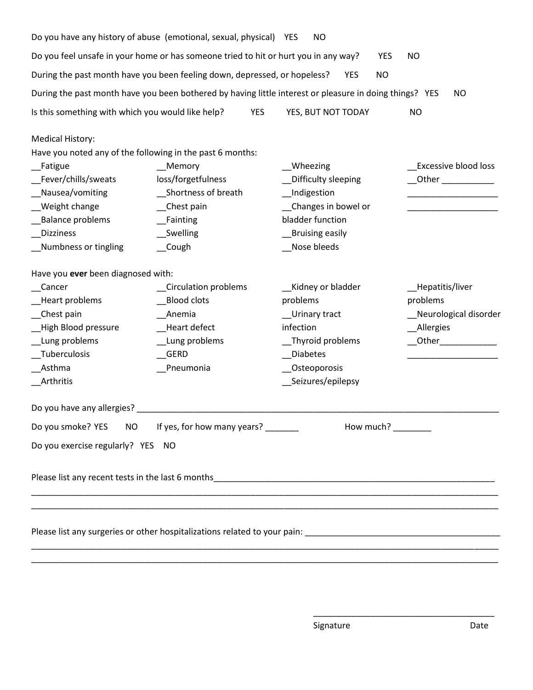|                                                                                                                                                                                                                                                                             | Do you have any history of abuse (emotional, sexual, physical) YES                                      | <b>NO</b>                                                                                                                                     |                                                                                                                                                                                                                                                                                                            |  |  |  |  |
|-----------------------------------------------------------------------------------------------------------------------------------------------------------------------------------------------------------------------------------------------------------------------------|---------------------------------------------------------------------------------------------------------|-----------------------------------------------------------------------------------------------------------------------------------------------|------------------------------------------------------------------------------------------------------------------------------------------------------------------------------------------------------------------------------------------------------------------------------------------------------------|--|--|--|--|
| Do you feel unsafe in your home or has someone tried to hit or hurt you in any way?<br><b>YES</b><br><b>NO</b>                                                                                                                                                              |                                                                                                         |                                                                                                                                               |                                                                                                                                                                                                                                                                                                            |  |  |  |  |
|                                                                                                                                                                                                                                                                             | During the past month have you been feeling down, depressed, or hopeless?                               | <b>NO</b><br><b>YES</b>                                                                                                                       |                                                                                                                                                                                                                                                                                                            |  |  |  |  |
|                                                                                                                                                                                                                                                                             |                                                                                                         | During the past month have you been bothered by having little interest or pleasure in doing things? YES                                       | NO                                                                                                                                                                                                                                                                                                         |  |  |  |  |
| Is this something with which you would like help?                                                                                                                                                                                                                           | <b>YES</b>                                                                                              | YES, BUT NOT TODAY                                                                                                                            | <b>NO</b>                                                                                                                                                                                                                                                                                                  |  |  |  |  |
| <b>Medical History:</b><br>Have you noted any of the following in the past 6 months:<br>_Fatigue<br>Fever/chills/sweats<br>Nausea/vomiting<br><b>Weight change</b><br><b>Balance problems</b><br><b>Dizziness</b><br>Numbness or tingling                                   | __Memory<br>loss/forgetfulness<br>Shortness of breath<br>_Chest pain<br>Fainting<br>Swelling<br>__Cough | __Wheezing<br>Difficulty sleeping<br><b>Indigestion</b><br>Changes in bowel or<br>bladder function<br><b>Bruising easily</b><br>Nose bleeds   | Excessive blood loss<br>Other <b>Communist Communist Communist Communist Communist Communist Communist Communist Communist Communist Communist Communist Communist Communist Communist Communist Communist Communist Communist Communist Communist Commu</b>                                               |  |  |  |  |
| Have you ever been diagnosed with:<br>Cancer<br>Circulation problems<br><b>Blood clots</b><br>Heart problems<br>Chest pain<br>Anemia<br>High Blood pressure<br>Heart defect<br>Lung problems<br>__Lung problems<br>Tuberculosis<br>GERD<br>Asthma<br>Pneumonia<br>Arthritis |                                                                                                         | Kidney or bladder<br>problems<br>_Urinary tract<br>infection<br>__Thyroid problems<br><b>Diabetes</b><br>_Osteoporosis<br>__Seizures/epilepsy | _Hepatitis/liver<br>problems<br>Neurological disorder<br>Allergies<br>Other <b>Communist Communist Communist Communist Communist Communist Communist Communist Communist Communist Communist Communist Communist Communist Communist Communist Communist Communist Communist Communist Communist Commu</b> |  |  |  |  |
| Do you have any allergies?<br>Do you smoke? YES<br>NO<br>Do you exercise regularly? YES NO                                                                                                                                                                                  | If yes, for how many years?                                                                             | How much?                                                                                                                                     |                                                                                                                                                                                                                                                                                                            |  |  |  |  |
|                                                                                                                                                                                                                                                                             |                                                                                                         |                                                                                                                                               |                                                                                                                                                                                                                                                                                                            |  |  |  |  |
| ,我们也不能在这里的时候,我们也不能在这里的时候,我们也不能会在这里的时候,我们也不能会在这里的时候,我们也不能会在这里的时候,我们也不能会在这里的时候,我们也不                                                                                                                                                                                           |                                                                                                         |                                                                                                                                               |                                                                                                                                                                                                                                                                                                            |  |  |  |  |

\_\_\_\_\_\_\_\_\_\_\_\_\_\_\_\_\_\_\_\_\_\_\_\_\_\_\_\_\_\_\_\_\_\_\_\_\_\_\_\_\_\_\_\_\_\_\_\_\_\_\_\_\_\_\_\_\_\_\_\_\_\_\_\_\_\_\_\_\_\_\_\_\_\_\_\_\_\_\_\_\_\_\_\_\_\_\_\_\_\_\_\_\_\_\_\_\_\_

\_\_\_\_\_\_\_\_\_\_\_\_\_\_\_\_\_\_\_\_\_\_\_\_\_\_\_\_\_\_\_\_\_\_\_\_\_\_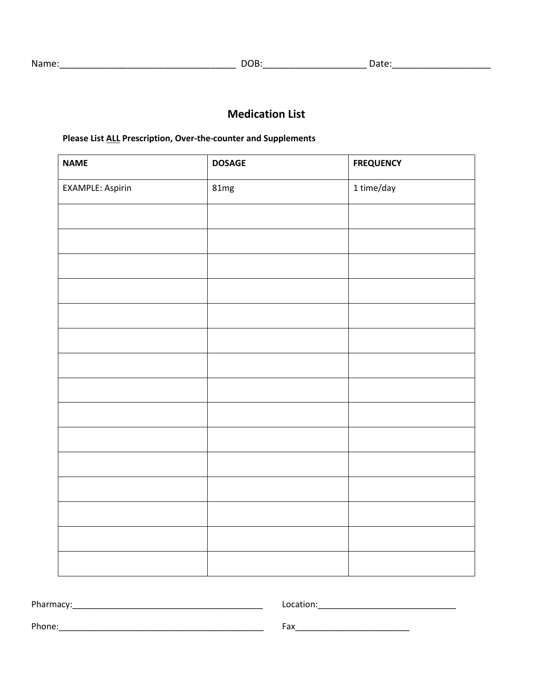## **Medication List**

#### **Please List ALL Prescription, Over-the-counter and Supplements**

| <b>NAME</b>             | <b>DOSAGE</b> | <b>FREQUENCY</b> |
|-------------------------|---------------|------------------|
| <b>EXAMPLE: Aspirin</b> | 81mg          | 1 time/day       |
|                         |               |                  |
|                         |               |                  |
|                         |               |                  |
|                         |               |                  |
|                         |               |                  |
|                         |               |                  |
|                         |               |                  |
|                         |               |                  |
|                         |               |                  |
|                         |               |                  |
|                         |               |                  |
|                         |               |                  |
|                         |               |                  |
|                         |               |                  |
|                         |               |                  |

Pharmacy:\_\_\_\_\_\_\_\_\_\_\_\_\_\_\_\_\_\_\_\_\_\_\_\_\_\_\_\_\_\_\_\_\_\_\_\_\_\_\_\_ Location:\_\_\_\_\_\_\_\_\_\_\_\_\_\_\_\_\_\_\_\_\_\_\_\_\_\_\_\_\_ Phone:\_\_\_\_\_\_\_\_\_\_\_\_\_\_\_\_\_\_\_\_\_\_\_\_\_\_\_\_\_\_\_\_\_\_\_\_\_\_\_\_\_\_\_ Fax\_\_\_\_\_\_\_\_\_\_\_\_\_\_\_\_\_\_\_\_\_\_\_\_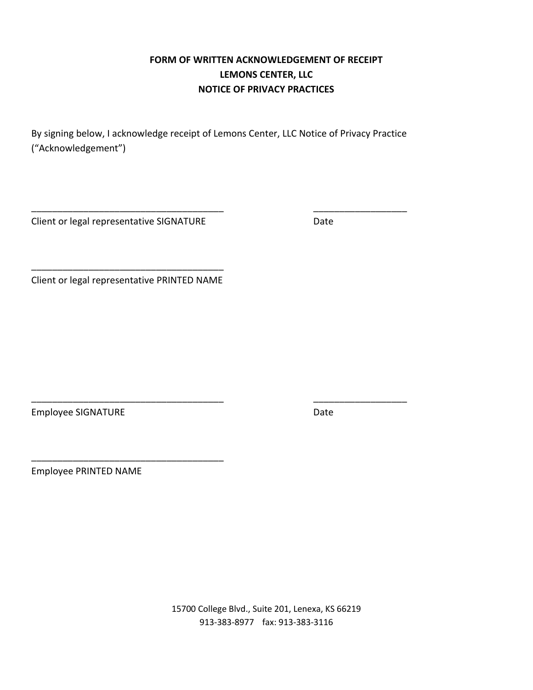### **FORM OF WRITTEN ACKNOWLEDGEMENT OF RECEIPT LEMONS CENTER, LLC NOTICE OF PRIVACY PRACTICES**

By signing below, I acknowledge receipt of Lemons Center, LLC Notice of Privacy Practice ("Acknowledgement")

\_\_\_\_\_\_\_\_\_\_\_\_\_\_\_\_\_\_\_\_\_\_\_\_\_\_\_\_\_\_\_\_\_\_\_\_\_ \_\_\_\_\_\_\_\_\_\_\_\_\_\_\_\_\_\_

\_\_\_\_\_\_\_\_\_\_\_\_\_\_\_\_\_\_\_\_\_\_\_\_\_\_\_\_\_\_\_\_\_\_\_\_\_ \_\_\_\_\_\_\_\_\_\_\_\_\_\_\_\_\_\_

Client or legal representative SIGNATURE **Example 2018** Date

\_\_\_\_\_\_\_\_\_\_\_\_\_\_\_\_\_\_\_\_\_\_\_\_\_\_\_\_\_\_\_\_\_\_\_\_\_ Client or legal representative PRINTED NAME

\_\_\_\_\_\_\_\_\_\_\_\_\_\_\_\_\_\_\_\_\_\_\_\_\_\_\_\_\_\_\_\_\_\_\_\_\_

Employee SIGNATURE **Employee SIGNATURE** 

Employee PRINTED NAME

15700 College Blvd., Suite 201, Lenexa, KS 66219 913-383-8977 fax: 913-383-3116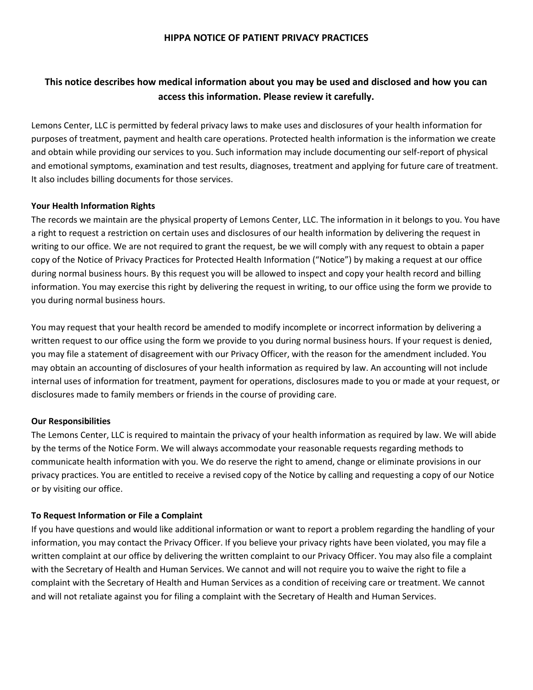#### **HIPPA NOTICE OF PATIENT PRIVACY PRACTICES**

#### **This notice describes how medical information about you may be used and disclosed and how you can access this information. Please review it carefully.**

Lemons Center, LLC is permitted by federal privacy laws to make uses and disclosures of your health information for purposes of treatment, payment and health care operations. Protected health information is the information we create and obtain while providing our services to you. Such information may include documenting our self-report of physical and emotional symptoms, examination and test results, diagnoses, treatment and applying for future care of treatment. It also includes billing documents for those services.

#### **Your Health Information Rights**

The records we maintain are the physical property of Lemons Center, LLC. The information in it belongs to you. You have a right to request a restriction on certain uses and disclosures of our health information by delivering the request in writing to our office. We are not required to grant the request, be we will comply with any request to obtain a paper copy of the Notice of Privacy Practices for Protected Health Information ("Notice") by making a request at our office during normal business hours. By this request you will be allowed to inspect and copy your health record and billing information. You may exercise this right by delivering the request in writing, to our office using the form we provide to you during normal business hours.

You may request that your health record be amended to modify incomplete or incorrect information by delivering a written request to our office using the form we provide to you during normal business hours. If your request is denied, you may file a statement of disagreement with our Privacy Officer, with the reason for the amendment included. You may obtain an accounting of disclosures of your health information as required by law. An accounting will not include internal uses of information for treatment, payment for operations, disclosures made to you or made at your request, or disclosures made to family members or friends in the course of providing care.

#### **Our Responsibilities**

The Lemons Center, LLC is required to maintain the privacy of your health information as required by law. We will abide by the terms of the Notice Form. We will always accommodate your reasonable requests regarding methods to communicate health information with you. We do reserve the right to amend, change or eliminate provisions in our privacy practices. You are entitled to receive a revised copy of the Notice by calling and requesting a copy of our Notice or by visiting our office.

#### **To Request Information or File a Complaint**

If you have questions and would like additional information or want to report a problem regarding the handling of your information, you may contact the Privacy Officer. If you believe your privacy rights have been violated, you may file a written complaint at our office by delivering the written complaint to our Privacy Officer. You may also file a complaint with the Secretary of Health and Human Services. We cannot and will not require you to waive the right to file a complaint with the Secretary of Health and Human Services as a condition of receiving care or treatment. We cannot and will not retaliate against you for filing a complaint with the Secretary of Health and Human Services.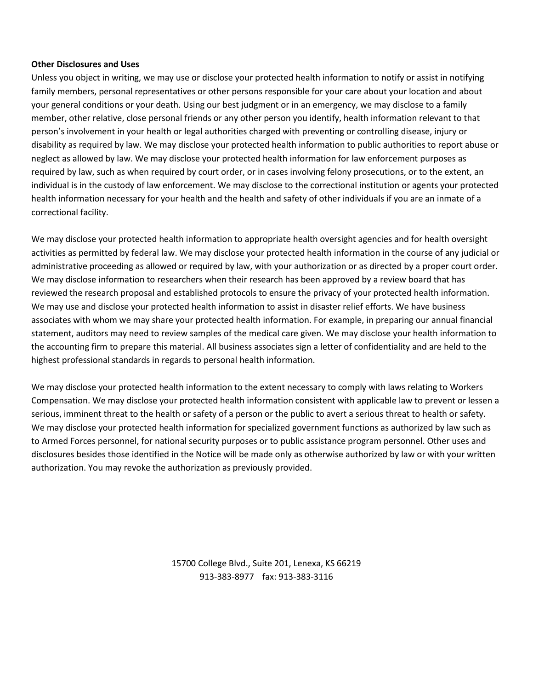#### **Other Disclosures and Uses**

Unless you object in writing, we may use or disclose your protected health information to notify or assist in notifying family members, personal representatives or other persons responsible for your care about your location and about your general conditions or your death. Using our best judgment or in an emergency, we may disclose to a family member, other relative, close personal friends or any other person you identify, health information relevant to that person's involvement in your health or legal authorities charged with preventing or controlling disease, injury or disability as required by law. We may disclose your protected health information to public authorities to report abuse or neglect as allowed by law. We may disclose your protected health information for law enforcement purposes as required by law, such as when required by court order, or in cases involving felony prosecutions, or to the extent, an individual is in the custody of law enforcement. We may disclose to the correctional institution or agents your protected health information necessary for your health and the health and safety of other individuals if you are an inmate of a correctional facility.

We may disclose your protected health information to appropriate health oversight agencies and for health oversight activities as permitted by federal law. We may disclose your protected health information in the course of any judicial or administrative proceeding as allowed or required by law, with your authorization or as directed by a proper court order. We may disclose information to researchers when their research has been approved by a review board that has reviewed the research proposal and established protocols to ensure the privacy of your protected health information. We may use and disclose your protected health information to assist in disaster relief efforts. We have business associates with whom we may share your protected health information. For example, in preparing our annual financial statement, auditors may need to review samples of the medical care given. We may disclose your health information to the accounting firm to prepare this material. All business associates sign a letter of confidentiality and are held to the highest professional standards in regards to personal health information.

We may disclose your protected health information to the extent necessary to comply with laws relating to Workers Compensation. We may disclose your protected health information consistent with applicable law to prevent or lessen a serious, imminent threat to the health or safety of a person or the public to avert a serious threat to health or safety. We may disclose your protected health information for specialized government functions as authorized by law such as to Armed Forces personnel, for national security purposes or to public assistance program personnel. Other uses and disclosures besides those identified in the Notice will be made only as otherwise authorized by law or with your written authorization. You may revoke the authorization as previously provided.

> 15700 College Blvd., Suite 201, Lenexa, KS 66219 913-383-8977 fax: 913-383-3116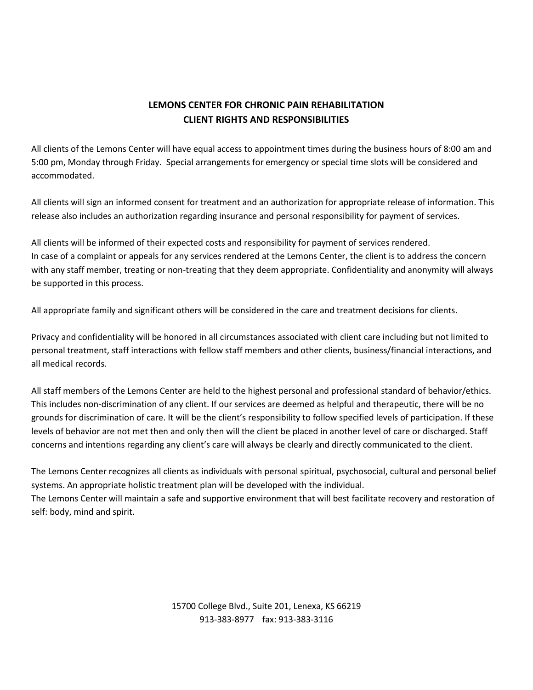### **LEMONS CENTER FOR CHRONIC PAIN REHABILITATION CLIENT RIGHTS AND RESPONSIBILITIES**

All clients of the Lemons Center will have equal access to appointment times during the business hours of 8:00 am and 5:00 pm, Monday through Friday. Special arrangements for emergency or special time slots will be considered and accommodated.

All clients will sign an informed consent for treatment and an authorization for appropriate release of information. This release also includes an authorization regarding insurance and personal responsibility for payment of services.

All clients will be informed of their expected costs and responsibility for payment of services rendered. In case of a complaint or appeals for any services rendered at the Lemons Center, the client is to address the concern with any staff member, treating or non-treating that they deem appropriate. Confidentiality and anonymity will always be supported in this process.

All appropriate family and significant others will be considered in the care and treatment decisions for clients.

Privacy and confidentiality will be honored in all circumstances associated with client care including but not limited to personal treatment, staff interactions with fellow staff members and other clients, business/financial interactions, and all medical records.

All staff members of the Lemons Center are held to the highest personal and professional standard of behavior/ethics. This includes non-discrimination of any client. If our services are deemed as helpful and therapeutic, there will be no grounds for discrimination of care. It will be the client's responsibility to follow specified levels of participation. If these levels of behavior are not met then and only then will the client be placed in another level of care or discharged. Staff concerns and intentions regarding any client's care will always be clearly and directly communicated to the client.

The Lemons Center recognizes all clients as individuals with personal spiritual, psychosocial, cultural and personal belief systems. An appropriate holistic treatment plan will be developed with the individual.

The Lemons Center will maintain a safe and supportive environment that will best facilitate recovery and restoration of self: body, mind and spirit.

> 15700 College Blvd., Suite 201, Lenexa, KS 66219 913-383-8977 fax: 913-383-3116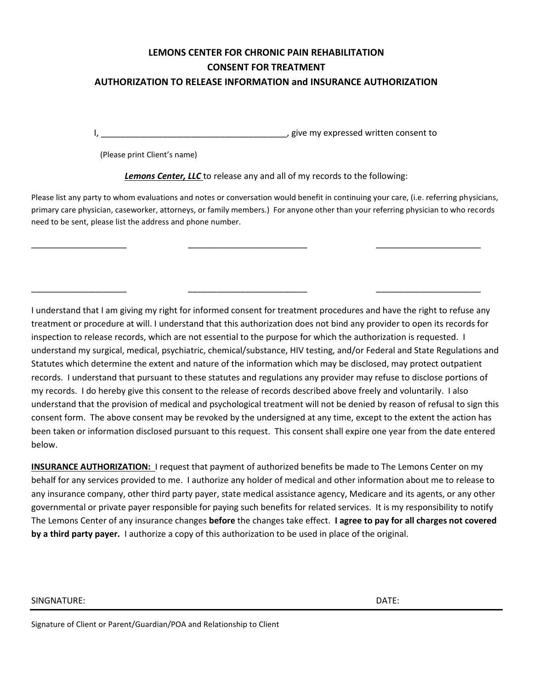## **LEMONS CENTER FOR CHRONIC PAIN REHABILITATION CONSENT FOR TREATMENT**

#### **AUTHORIZATION TO RELEASE INFORMATION and INSURANCE AUTHORIZATION**

I, the consention of the consention of the consention of the consent to consent to  $\alpha$ 

(Please print Client's name)

*Lemons Center, LLC* to release any and all of my records to the following:

Please list any party to whom evaluations and notes or conversation would benefit in continuing your care, (i.e. referring physicians, primary care physician, caseworker, attorneys, or family members.) For anyone other than your referring physician to who records need to be sent, please list the address and phone number.

\_\_\_\_\_\_\_\_\_\_\_\_\_\_\_\_\_\_\_\_ \_\_\_\_\_\_\_\_\_\_\_\_\_\_\_\_\_\_\_\_\_\_\_\_\_ \_\_\_\_\_\_\_\_\_\_\_\_\_\_\_\_\_\_\_\_\_\_

\_\_\_\_\_\_\_\_\_\_\_\_\_\_\_\_\_\_\_\_ \_\_\_\_\_\_\_\_\_\_\_\_\_\_\_\_\_\_\_\_\_\_\_\_\_ \_\_\_\_\_\_\_\_\_\_\_\_\_\_\_\_\_\_\_\_\_\_

I understand that I am giving my right for informed consent for treatment procedures and have the right to refuse any treatment or procedure at will. I understand that this authorization does not bind any provider to open its records for inspection to release records, which are not essential to the purpose for which the authorization is requested. I understand my surgical, medical, psychiatric, chemical/substance, HIV testing, and/or Federal and State Regulations and Statutes which determine the extent and nature of the information which may be disclosed, may protect outpatient records. I understand that pursuant to these statutes and regulations any provider may refuse to disclose portions of my records. I do hereby give this consent to the release of records described above freely and voluntarily. I also understand that the provision of medical and psychological treatment will not be denied by reason of refusal to sign this consent form. The above consent may be revoked by the undersigned at any time, except to the extent the action has been taken or information disclosed pursuant to this request. This consent shall expire one year from the date entered below.

**INSURANCE AUTHORIZATION:** I request that payment of authorized benefits be made to The Lemons Center on my behalf for any services provided to me. I authorize any holder of medical and other information about me to release to any insurance company, other third party payer, state medical assistance agency, Medicare and its agents, or any other governmental or private payer responsible for paying such benefits for related services. It is my responsibility to notify The Lemons Center of any insurance changes **before** the changes take effect. **I agree to pay for all charges not covered by a third party payer.** I authorize a copy of this authorization to be used in place of the original.

#### SINGNATURE: DATE:

Signature of Client or Parent/Guardian/POA and Relationship to Client